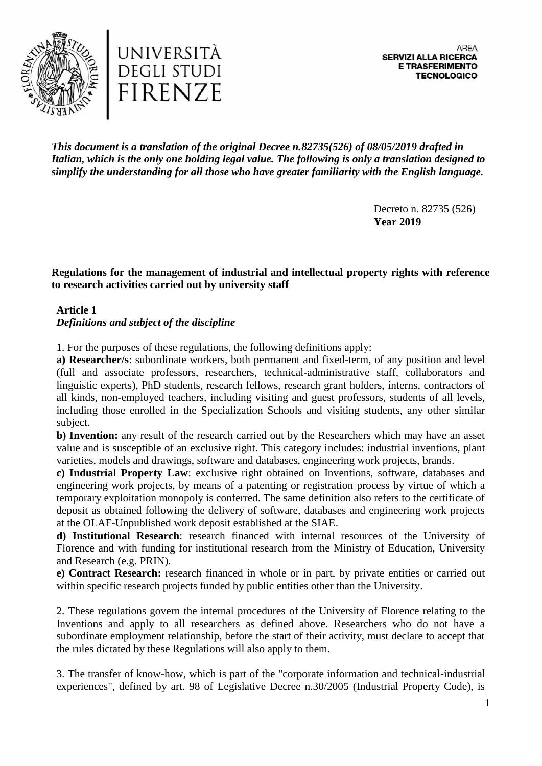

*This document is a translation of the original Decree n.82735(526) of 08/05/2019 drafted in Italian, which is the only one holding legal value. The following is only a translation designed to simplify the understanding for all those who have greater familiarity with the English language.*

> Decreto n. 82735 (526) **Year 2019**

**Regulations for the management of industrial and intellectual property rights with reference to research activities carried out by university staff**

## **Article 1** *Definitions and subject of the discipline*

1. For the purposes of these regulations, the following definitions apply:

**a) Researcher/s**: subordinate workers, both permanent and fixed-term, of any position and level (full and associate professors, researchers, technical-administrative staff, collaborators and linguistic experts), PhD students, research fellows, research grant holders, interns, contractors of all kinds, non-employed teachers, including visiting and guest professors, students of all levels, including those enrolled in the Specialization Schools and visiting students, any other similar subject.

**b) Invention:** any result of the research carried out by the Researchers which may have an asset value and is susceptible of an exclusive right. This category includes: industrial inventions, plant varieties, models and drawings, software and databases, engineering work projects, brands.

**c) Industrial Property Law**: exclusive right obtained on Inventions, software, databases and engineering work projects, by means of a patenting or registration process by virtue of which a temporary exploitation monopoly is conferred. The same definition also refers to the certificate of deposit as obtained following the delivery of software, databases and engineering work projects at the OLAF-Unpublished work deposit established at the SIAE.

**d) Institutional Research**: research financed with internal resources of the University of Florence and with funding for institutional research from the Ministry of Education, University and Research (e.g. PRIN).

**e) Contract Research:** research financed in whole or in part, by private entities or carried out within specific research projects funded by public entities other than the University.

2. These regulations govern the internal procedures of the University of Florence relating to the Inventions and apply to all researchers as defined above. Researchers who do not have a subordinate employment relationship, before the start of their activity, must declare to accept that the rules dictated by these Regulations will also apply to them.

3. The transfer of know-how, which is part of the "corporate information and technical-industrial experiences", defined by art. 98 of Legislative Decree n.30/2005 (Industrial Property Code), is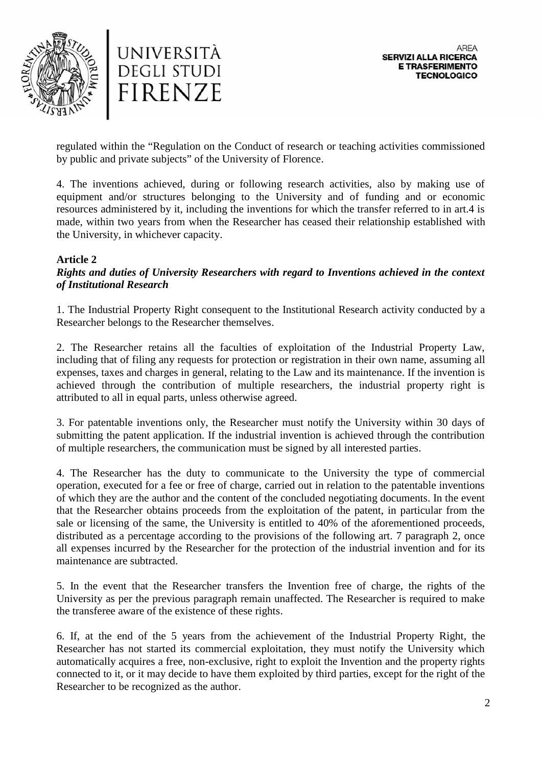



regulated within the "Regulation on the Conduct of research or teaching activities commissioned by public and private subjects" of the University of Florence.

4. The inventions achieved, during or following research activities, also by making use of equipment and/or structures belonging to the University and of funding and or economic resources administered by it, including the inventions for which the transfer referred to in art.4 is made, within two years from when the Researcher has ceased their relationship established with the University, in whichever capacity.

# **Article 2**

## *Rights and duties of University Researchers with regard to Inventions achieved in the context of Institutional Research*

1. The Industrial Property Right consequent to the Institutional Research activity conducted by a Researcher belongs to the Researcher themselves.

2. The Researcher retains all the faculties of exploitation of the Industrial Property Law, including that of filing any requests for protection or registration in their own name, assuming all expenses, taxes and charges in general, relating to the Law and its maintenance. If the invention is achieved through the contribution of multiple researchers, the industrial property right is attributed to all in equal parts, unless otherwise agreed.

3. For patentable inventions only, the Researcher must notify the University within 30 days of submitting the patent application. If the industrial invention is achieved through the contribution of multiple researchers, the communication must be signed by all interested parties.

4. The Researcher has the duty to communicate to the University the type of commercial operation, executed for a fee or free of charge, carried out in relation to the patentable inventions of which they are the author and the content of the concluded negotiating documents. In the event that the Researcher obtains proceeds from the exploitation of the patent, in particular from the sale or licensing of the same, the University is entitled to 40% of the aforementioned proceeds, distributed as a percentage according to the provisions of the following art. 7 paragraph 2, once all expenses incurred by the Researcher for the protection of the industrial invention and for its maintenance are subtracted.

5. In the event that the Researcher transfers the Invention free of charge, the rights of the University as per the previous paragraph remain unaffected. The Researcher is required to make the transferee aware of the existence of these rights.

6. If, at the end of the 5 years from the achievement of the Industrial Property Right, the Researcher has not started its commercial exploitation, they must notify the University which automatically acquires a free, non-exclusive, right to exploit the Invention and the property rights connected to it, or it may decide to have them exploited by third parties, except for the right of the Researcher to be recognized as the author.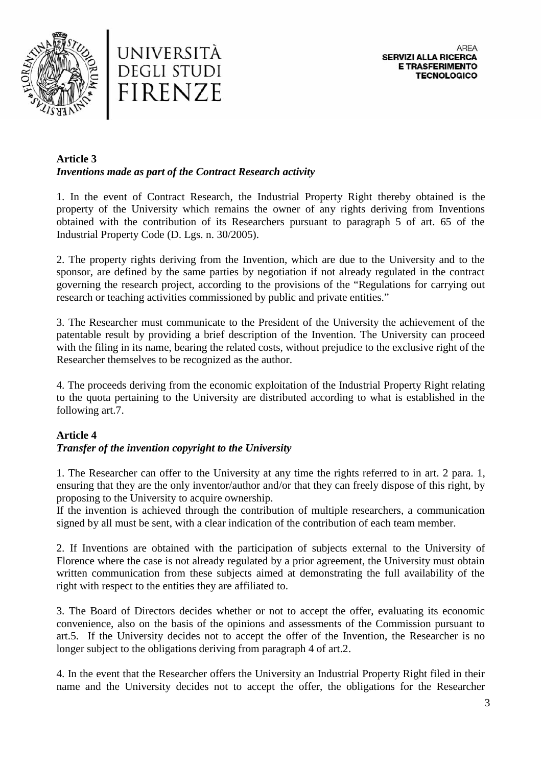



#### **Article 3** *Inventions made as part of the Contract Research activity*

1. In the event of Contract Research, the Industrial Property Right thereby obtained is the property of the University which remains the owner of any rights deriving from Inventions obtained with the contribution of its Researchers pursuant to paragraph 5 of art. 65 of the Industrial Property Code (D. Lgs. n. 30/2005).

2. The property rights deriving from the Invention, which are due to the University and to the sponsor, are defined by the same parties by negotiation if not already regulated in the contract governing the research project, according to the provisions of the "Regulations for carrying out research or teaching activities commissioned by public and private entities."

3. The Researcher must communicate to the President of the University the achievement of the patentable result by providing a brief description of the Invention. The University can proceed with the filing in its name, bearing the related costs, without prejudice to the exclusive right of the Researcher themselves to be recognized as the author.

4. The proceeds deriving from the economic exploitation of the Industrial Property Right relating to the quota pertaining to the University are distributed according to what is established in the following art.7.

# **Article 4**

### *Transfer of the invention copyright to the University*

1. The Researcher can offer to the University at any time the rights referred to in art. 2 para. 1, ensuring that they are the only inventor/author and/or that they can freely dispose of this right, by proposing to the University to acquire ownership.

If the invention is achieved through the contribution of multiple researchers, a communication signed by all must be sent, with a clear indication of the contribution of each team member.

2. If Inventions are obtained with the participation of subjects external to the University of Florence where the case is not already regulated by a prior agreement, the University must obtain written communication from these subjects aimed at demonstrating the full availability of the right with respect to the entities they are affiliated to.

3. The Board of Directors decides whether or not to accept the offer, evaluating its economic convenience, also on the basis of the opinions and assessments of the Commission pursuant to art.5. If the University decides not to accept the offer of the Invention, the Researcher is no longer subject to the obligations deriving from paragraph 4 of art.2.

4. In the event that the Researcher offers the University an Industrial Property Right filed in their name and the University decides not to accept the offer, the obligations for the Researcher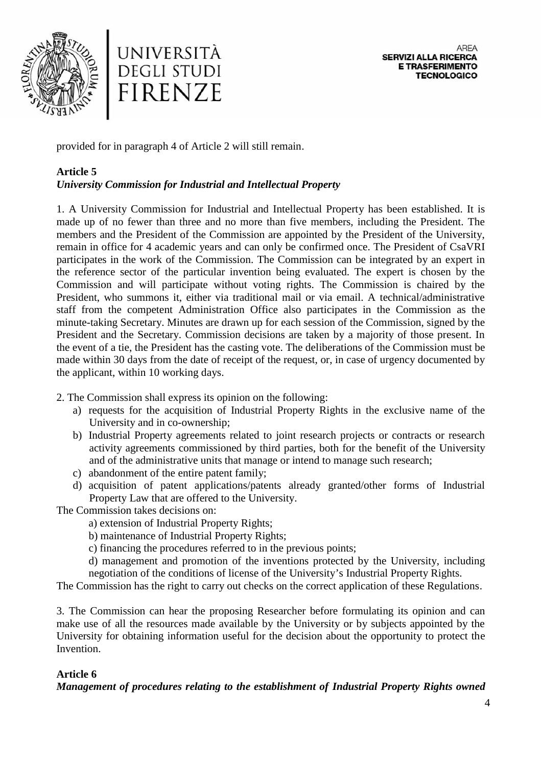



provided for in paragraph 4 of Article 2 will still remain.

# **Article 5**

# *University Commission for Industrial and Intellectual Property*

1. A University Commission for Industrial and Intellectual Property has been established. It is made up of no fewer than three and no more than five members, including the President. The members and the President of the Commission are appointed by the President of the University, remain in office for 4 academic years and can only be confirmed once. The President of CsaVRI participates in the work of the Commission. The Commission can be integrated by an expert in the reference sector of the particular invention being evaluated. The expert is chosen by the Commission and will participate without voting rights. The Commission is chaired by the President, who summons it, either via traditional mail or via email. A technical/administrative staff from the competent Administration Office also participates in the Commission as the minute-taking Secretary. Minutes are drawn up for each session of the Commission, signed by the President and the Secretary. Commission decisions are taken by a majority of those present. In the event of a tie, the President has the casting vote. The deliberations of the Commission must be made within 30 days from the date of receipt of the request, or, in case of urgency documented by the applicant, within 10 working days.

2. The Commission shall express its opinion on the following:

- a) requests for the acquisition of Industrial Property Rights in the exclusive name of the University and in co-ownership;
- b) Industrial Property agreements related to joint research projects or contracts or research activity agreements commissioned by third parties, both for the benefit of the University and of the administrative units that manage or intend to manage such research;
- c) abandonment of the entire patent family;
- d) acquisition of patent applications/patents already granted/other forms of Industrial Property Law that are offered to the University.

The Commission takes decisions on:

a) extension of Industrial Property Rights;

b) maintenance of Industrial Property Rights;

c) financing the procedures referred to in the previous points;

d) management and promotion of the inventions protected by the University, including negotiation of the conditions of license of the University's Industrial Property Rights.

The Commission has the right to carry out checks on the correct application of these Regulations.

3. The Commission can hear the proposing Researcher before formulating its opinion and can make use of all the resources made available by the University or by subjects appointed by the University for obtaining information useful for the decision about the opportunity to protect the Invention.

# **Article 6**

*Management of procedures relating to the establishment of Industrial Property Rights owned*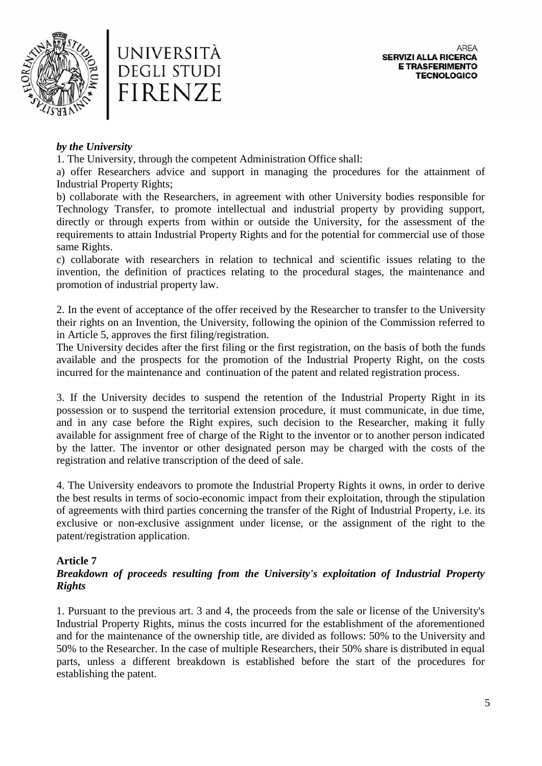



### *by the University*

1. The University, through the competent Administration Office shall:

a) offer Researchers advice and support in managing the procedures for the attainment of Industrial Property Rights;

b) collaborate with the Researchers, in agreement with other University bodies responsible for Technology Transfer, to promote intellectual and industrial property by providing support, directly or through experts from within or outside the University, for the assessment of the requirements to attain Industrial Property Rights and for the potential for commercial use of those same Rights.

c) collaborate with researchers in relation to technical and scientific issues relating to the invention, the definition of practices relating to the procedural stages, the maintenance and promotion of industrial property law.

2. In the event of acceptance of the offer received by the Researcher to transfer to the University their rights on an Invention, the University, following the opinion of the Commission referred to in Article 5, approves the first filing/registration.

The University decides after the first filing or the first registration, on the basis of both the funds available and the prospects for the promotion of the Industrial Property Right, on the costs incurred for the maintenance and continuation of the patent and related registration process.

3. If the University decides to suspend the retention of the Industrial Property Right in its possession or to suspend the territorial extension procedure, it must communicate, in due time, and in any case before the Right expires, such decision to the Researcher, making it fully available for assignment free of charge of the Right to the inventor or to another person indicated by the latter. The inventor or other designated person may be charged with the costs of the registration and relative transcription of the deed of sale.

4. The University endeavors to promote the Industrial Property Rights it owns, in order to derive the best results in terms of socio-economic impact from their exploitation, through the stipulation of agreements with third parties concerning the transfer of the Right of Industrial Property, i.e. its exclusive or non-exclusive assignment under license, or the assignment of the right to the patent/registration application.

# **Article 7**

# *Breakdown of proceeds resulting from the University's exploitation of Industrial Property Rights*

1. Pursuant to the previous art. 3 and 4, the proceeds from the sale or license of the University's Industrial Property Rights, minus the costs incurred for the establishment of the aforementioned and for the maintenance of the ownership title, are divided as follows: 50% to the University and 50% to the Researcher. In the case of multiple Researchers, their 50% share is distributed in equal parts, unless a different breakdown is established before the start of the procedures for establishing the patent.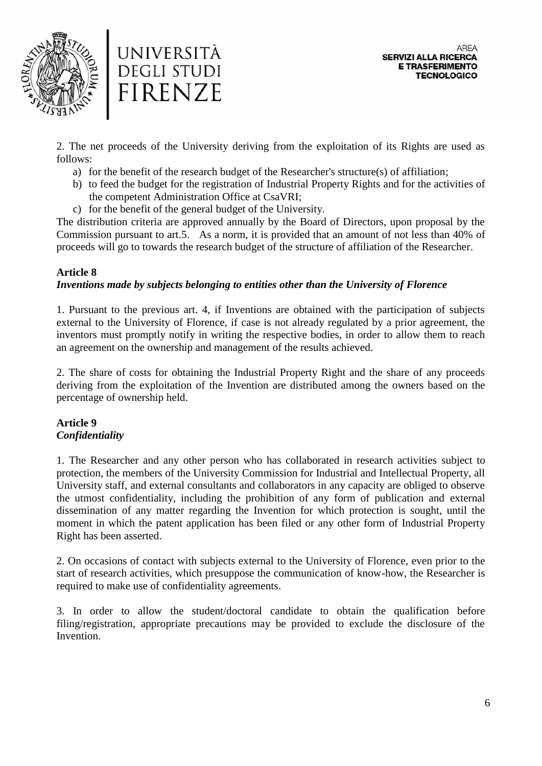



2. The net proceeds of the University deriving from the exploitation of its Rights are used as follows:

- a) for the benefit of the research budget of the Researcher's structure(s) of affiliation;
- b) to feed the budget for the registration of Industrial Property Rights and for the activities of the competent Administration Office at CsaVRI;
- c) for the benefit of the general budget of the University.

The distribution criteria are approved annually by the Board of Directors, upon proposal by the Commission pursuant to art.5. As a norm, it is provided that an amount of not less than 40% of proceeds will go to towards the research budget of the structure of affiliation of the Researcher.

# **Article 8**

### *Inventions made by subjects belonging to entities other than the University of Florence*

1. Pursuant to the previous art. 4, if Inventions are obtained with the participation of subjects external to the University of Florence, if case is not already regulated by a prior agreement, the inventors must promptly notify in writing the respective bodies, in order to allow them to reach an agreement on the ownership and management of the results achieved.

2. The share of costs for obtaining the Industrial Property Right and the share of any proceeds deriving from the exploitation of the Invention are distributed among the owners based on the percentage of ownership held.

# **Article 9** *Confidentiality*

1. The Researcher and any other person who has collaborated in research activities subject to protection, the members of the University Commission for Industrial and Intellectual Property, all University staff, and external consultants and collaborators in any capacity are obliged to observe the utmost confidentiality, including the prohibition of any form of publication and external dissemination of any matter regarding the Invention for which protection is sought, until the moment in which the patent application has been filed or any other form of Industrial Property Right has been asserted.

2. On occasions of contact with subjects external to the University of Florence, even prior to the start of research activities, which presuppose the communication of know-how, the Researcher is required to make use of confidentiality agreements.

3. In order to allow the student/doctoral candidate to obtain the qualification before filing/registration, appropriate precautions may be provided to exclude the disclosure of the Invention.